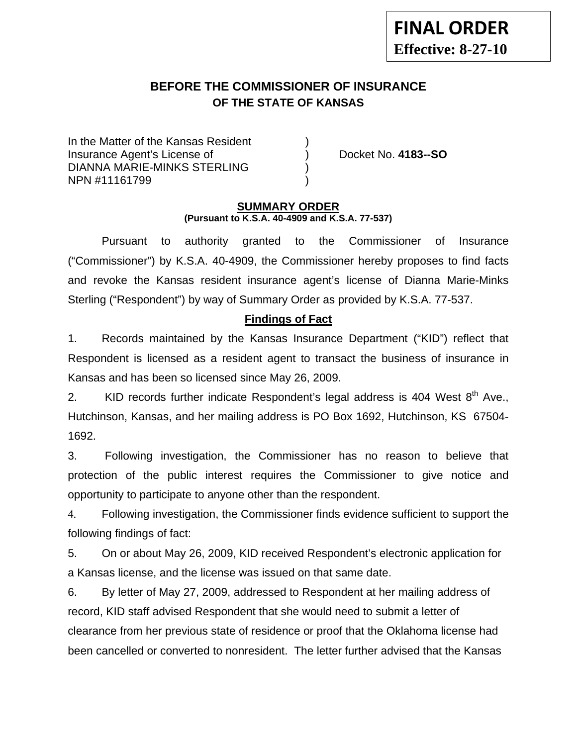# **BEFORE THE COMMISSIONER OF INSURANCE OF THE STATE OF KANSAS**

In the Matter of the Kansas Resident Insurance Agent's License of ) Docket No. **4183--SO** DIANNA MARIE-MINKS STERLING ) NPN #11161799 )

### **SUMMARY ORDER (Pursuant to K.S.A. 40-4909 and K.S.A. 77-537)**

 Pursuant to authority granted to the Commissioner of Insurance ("Commissioner") by K.S.A. 40-4909, the Commissioner hereby proposes to find facts and revoke the Kansas resident insurance agent's license of Dianna Marie-Minks Sterling ("Respondent") by way of Summary Order as provided by K.S.A. 77-537.

## **Findings of Fact**

1. Records maintained by the Kansas Insurance Department ("KID") reflect that Respondent is licensed as a resident agent to transact the business of insurance in Kansas and has been so licensed since May 26, 2009.

2. KID records further indicate Respondent's legal address is 404 West  $8<sup>th</sup>$  Ave., Hutchinson, Kansas, and her mailing address is PO Box 1692, Hutchinson, KS 67504- 1692.

3. Following investigation, the Commissioner has no reason to believe that protection of the public interest requires the Commissioner to give notice and opportunity to participate to anyone other than the respondent.

4. Following investigation, the Commissioner finds evidence sufficient to support the following findings of fact:

5. On or about May 26, 2009, KID received Respondent's electronic application for a Kansas license, and the license was issued on that same date.

6. By letter of May 27, 2009, addressed to Respondent at her mailing address of record, KID staff advised Respondent that she would need to submit a letter of clearance from her previous state of residence or proof that the Oklahoma license had been cancelled or converted to nonresident. The letter further advised that the Kansas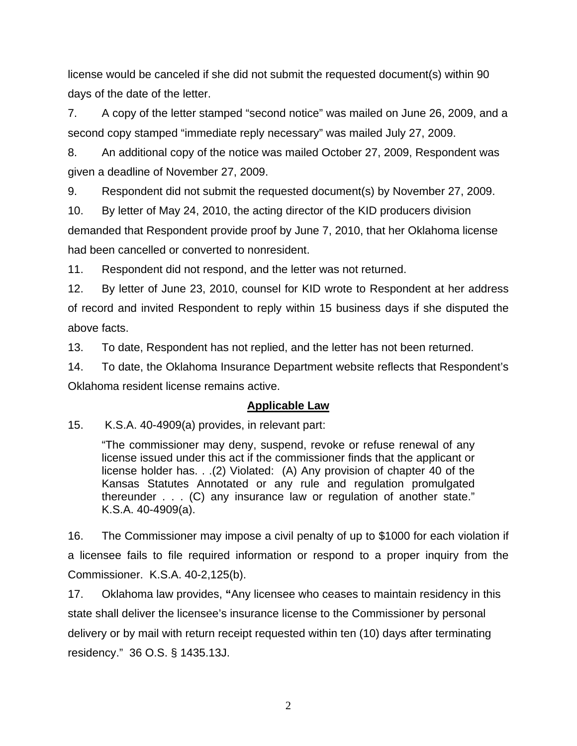license would be canceled if she did not submit the requested document(s) within 90 days of the date of the letter.

7. A copy of the letter stamped "second notice" was mailed on June 26, 2009, and a second copy stamped "immediate reply necessary" was mailed July 27, 2009.

8. An additional copy of the notice was mailed October 27, 2009, Respondent was given a deadline of November 27, 2009.

9. Respondent did not submit the requested document(s) by November 27, 2009.

10. By letter of May 24, 2010, the acting director of the KID producers division demanded that Respondent provide proof by June 7, 2010, that her Oklahoma license had been cancelled or converted to nonresident.

11. Respondent did not respond, and the letter was not returned.

12. By letter of June 23, 2010, counsel for KID wrote to Respondent at her address of record and invited Respondent to reply within 15 business days if she disputed the above facts.

13. To date, Respondent has not replied, and the letter has not been returned.

14. To date, the Oklahoma Insurance Department website reflects that Respondent's Oklahoma resident license remains active.

## **Applicable Law**

15. K.S.A. 40-4909(a) provides, in relevant part:

"The commissioner may deny, suspend, revoke or refuse renewal of any license issued under this act if the commissioner finds that the applicant or license holder has. . .(2) Violated: (A) Any provision of chapter 40 of the Kansas Statutes Annotated or any rule and regulation promulgated thereunder . . . (C) any insurance law or regulation of another state." K.S.A. 40-4909(a).

16. The Commissioner may impose a civil penalty of up to \$1000 for each violation if a licensee fails to file required information or respond to a proper inquiry from the Commissioner. K.S.A. 40-2,125(b).

17. Oklahoma law provides, **"**Any licensee who ceases to maintain residency in this state shall deliver the licensee's insurance license to the Commissioner by personal delivery or by mail with return receipt requested within ten (10) days after terminating residency." 36 O.S. § 1435.13J.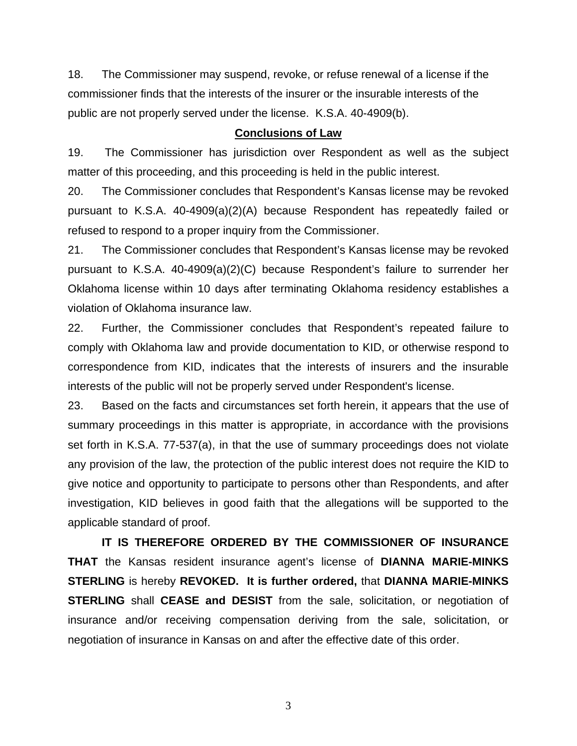18. The Commissioner may suspend, revoke, or refuse renewal of a license if the commissioner finds that the interests of the insurer or the insurable interests of the public are not properly served under the license. K.S.A. 40-4909(b).

#### **Conclusions of Law**

19. The Commissioner has jurisdiction over Respondent as well as the subject matter of this proceeding, and this proceeding is held in the public interest.

20. The Commissioner concludes that Respondent's Kansas license may be revoked pursuant to K.S.A. 40-4909(a)(2)(A) because Respondent has repeatedly failed or refused to respond to a proper inquiry from the Commissioner.

21. The Commissioner concludes that Respondent's Kansas license may be revoked pursuant to K.S.A. 40-4909(a)(2)(C) because Respondent's failure to surrender her Oklahoma license within 10 days after terminating Oklahoma residency establishes a violation of Oklahoma insurance law.

22. Further, the Commissioner concludes that Respondent's repeated failure to comply with Oklahoma law and provide documentation to KID, or otherwise respond to correspondence from KID, indicates that the interests of insurers and the insurable interests of the public will not be properly served under Respondent's license.

23. Based on the facts and circumstances set forth herein, it appears that the use of summary proceedings in this matter is appropriate, in accordance with the provisions set forth in K.S.A. 77-537(a), in that the use of summary proceedings does not violate any provision of the law, the protection of the public interest does not require the KID to give notice and opportunity to participate to persons other than Respondents, and after investigation, KID believes in good faith that the allegations will be supported to the applicable standard of proof.

 **IT IS THEREFORE ORDERED BY THE COMMISSIONER OF INSURANCE THAT** the Kansas resident insurance agent's license of **DIANNA MARIE-MINKS STERLING** is hereby **REVOKED. It is further ordered,** that **DIANNA MARIE-MINKS STERLING** shall **CEASE and DESIST** from the sale, solicitation, or negotiation of insurance and/or receiving compensation deriving from the sale, solicitation, or negotiation of insurance in Kansas on and after the effective date of this order.

3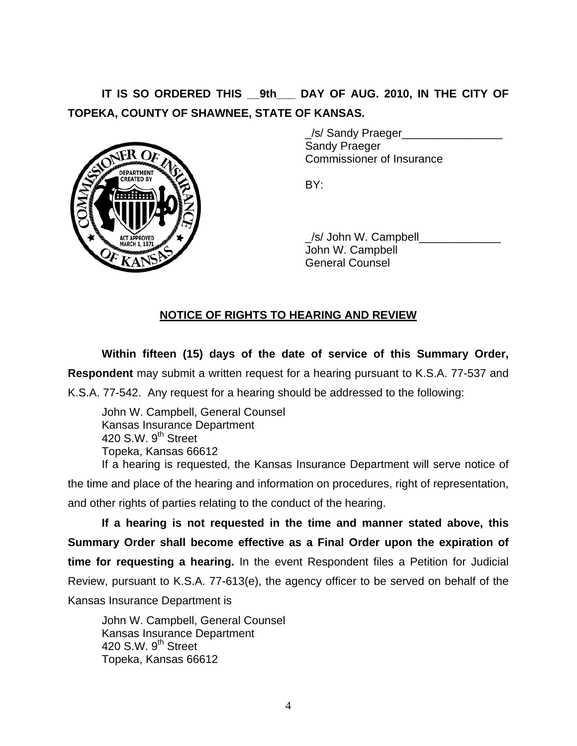IT IS SO ORDERED THIS 9th DAY OF AUG. 2010, IN THE CITY OF **TOPEKA, COUNTY OF SHAWNEE, STATE OF KANSAS.**



 \_/s/ Sandy Praeger\_\_\_\_\_\_\_\_\_\_\_\_\_\_\_\_ Sandy Praeger Commissioner of Insurance

 \_/s/ John W. Campbell\_\_\_\_\_\_\_\_\_\_\_\_\_ John W. Campbell General Counsel

## **NOTICE OF RIGHTS TO HEARING AND REVIEW**

**Within fifteen (15) days of the date of service of this Summary Order, Respondent** may submit a written request for a hearing pursuant to K.S.A. 77-537 and K.S.A. 77-542. Any request for a hearing should be addressed to the following:

 John W. Campbell, General Counsel Kansas Insurance Department 420 S.W. 9<sup>th</sup> Street Topeka, Kansas 66612 If a hearing is requested, the Kansas Insurance Department will serve notice of the time and place of the hearing and information on procedures, right of representation,

and other rights of parties relating to the conduct of the hearing.

**If a hearing is not requested in the time and manner stated above, this Summary Order shall become effective as a Final Order upon the expiration of time for requesting a hearing.** In the event Respondent files a Petition for Judicial Review, pursuant to K.S.A. 77-613(e), the agency officer to be served on behalf of the Kansas Insurance Department is

 John W. Campbell, General Counsel Kansas Insurance Department 420 S.W.  $9<sup>th</sup>$  Street Topeka, Kansas 66612